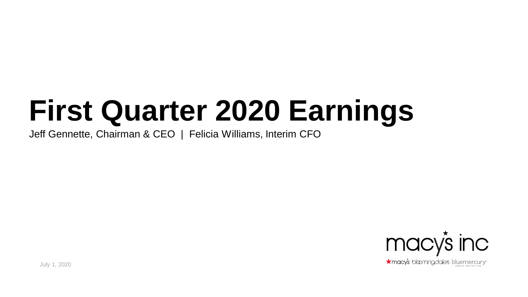# **First Quarter 2020 Earnings**

Jeff Gennette, Chairman & CEO | Felicia Williams, Interim CFO



July 1, 2020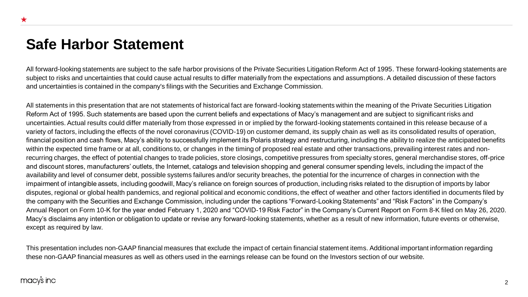#### **Safe Harbor Statement**

All forward-looking statements are subject to the safe harbor provisions of the Private Securities Litigation Reform Act of 1995. These forward-looking statements are subject to risks and uncertainties that could cause actual results to differ materially from the expectations and assumptions. A detailed discussion of these factors and uncertainties is contained in the company's filings with the Securities and Exchange Commission.

All statements in this presentation that are not statements of historical fact are forward-looking statements within the meaning of the Private Securities Litigation Reform Act of 1995. Such statements are based upon the current beliefs and expectations of Macy's management and are subject to significant risks and uncertainties. Actual results could differ materially from those expressed in or implied by the forward-looking statements contained in this release because of a variety of factors, including the effects of the novel coronavirus (COVID-19) on customer demand, its supply chain as well as its consolidated results of operation, financial position and cash flows, Macy's ability to successfully implement its Polaris strategy and restructuring, including the ability to realize the anticipated benefits within the expected time frame or at all, conditions to, or changes in the timing of proposed real estate and other transactions, prevailing interest rates and nonrecurring charges, the effect of potential changes to trade policies, store closings, competitive pressures from specialty stores, general merchandise stores, off-price and discount stores, manufacturers' outlets, the Internet, catalogs and television shopping and general consumer spending levels, including the impact of the availability and level of consumer debt, possible systems failures and/or security breaches, the potential for the incurrence of charges in connection with the impairment of intangible assets, including goodwill, Macy's reliance on foreign sources of production, including risks related to the disruption of imports by labor disputes, regional or global health pandemics, and regional political and economic conditions, the effect of weather and other factors identified in documents filed by the company with the Securities and Exchange Commission, including under the captions "Forward-Looking Statements" and "Risk Factors" in the Company's Annual Report on Form 10-K for the year ended February 1, 2020 and "COVID-19 Risk Factor" in the Company's Current Report on Form 8-K filed on May 26, 2020. Macy's disclaims any intention or obligation to update or revise any forward-looking statements, whether as a result of new information, future events or otherwise, except as required by law.

This presentation includes non-GAAP financial measures that exclude the impact of certain financial statement items. Additional important information regarding these non-GAAP financial measures as well as others used in the earnings release can be found on the Investors section of our website.

#### macy's inc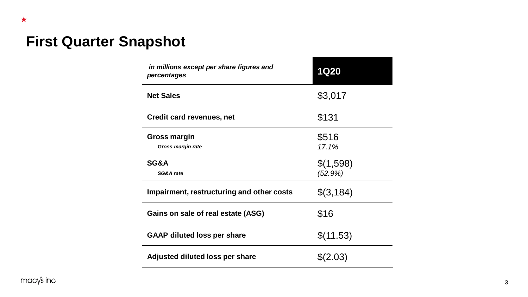## **First Quarter Snapshot**

| in millions except per share figures and<br>percentages | 1Q20                 |
|---------------------------------------------------------|----------------------|
| <b>Net Sales</b>                                        | \$3,017              |
| <b>Credit card revenues, net</b>                        | \$131                |
| Gross margin<br>Gross margin rate                       | \$516<br>17.1%       |
| <b>SG&amp;A</b><br>SG&A rate                            | \$(1,598)<br>(52.9%) |
| Impairment, restructuring and other costs               | \$(3,184)            |
| Gains on sale of real estate (ASG)                      | \$16                 |
| <b>GAAP diluted loss per share</b>                      | \$(11.53)            |
| Adjusted diluted loss per share                         | \$(2.03)             |
|                                                         |                      |

 $\star$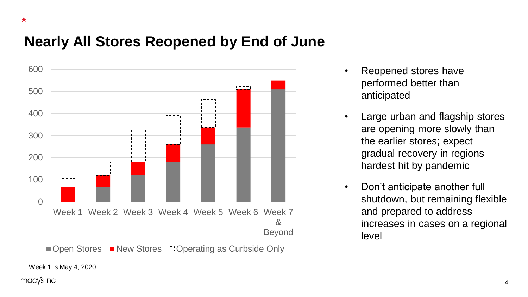## **Nearly All Stores Reopened by End of June**



• Reopened stores have performed better than anticipated

- Large urban and flagship stores are opening more slowly than the earlier stores; expect gradual recovery in regions hardest hit by pandemic
- Don't anticipate another full shutdown, but remaining flexible and prepared to address increases in cases on a regional level

Week 1 is May 4, 2020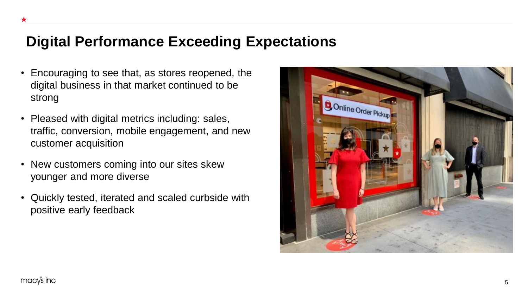#### **Digital Performance Exceeding Expectations**

- Encouraging to see that, as stores reopened, the digital business in that market continued to be strong
- Pleased with digital metrics including: sales, traffic, conversion, mobile engagement, and new customer acquisition
- New customers coming into our sites skew younger and more diverse
- Quickly tested, iterated and scaled curbside with positive early feedback

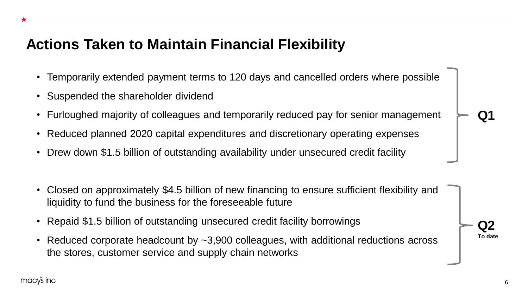#### **Actions Taken to Maintain Financial Flexibility**

- Temporarily extended payment terms to 120 days and cancelled orders where possible
- Suspended the shareholder dividend
- Furloughed majority of colleagues and temporarily reduced pay for senior management
- Reduced planned 2020 capital expenditures and discretionary operating expenses
- Drew down \$1.5 billion of outstanding availability under unsecured credit facility
- Closed on approximately \$4.5 billion of new financing to ensure sufficient flexibility and liquidity to fund the business for the foreseeable future
- Repaid \$1.5 billion of outstanding unsecured credit facility borrowings
- Reduced corporate headcount by ~3,900 colleagues, with additional reductions across the stores, customer service and supply chain networks

**Q2 To date**

**Q1**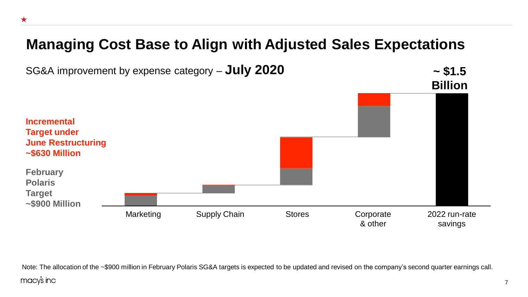## **Managing Cost Base to Align with Adjusted Sales Expectations**

SG&A improvement by expense category – **July 2020**

**~ \$1.5 Billion**

7



Note: The allocation of the ~\$900 million in February Polaris SG&A targets is expected to be updated and revised on the company's second quarter earnings call. macy's inc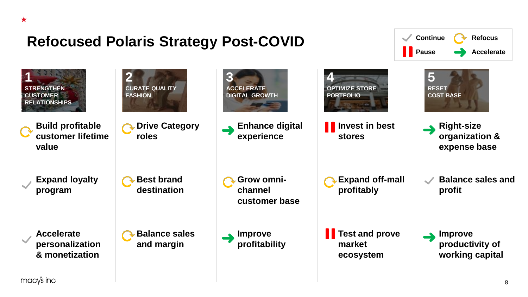

8